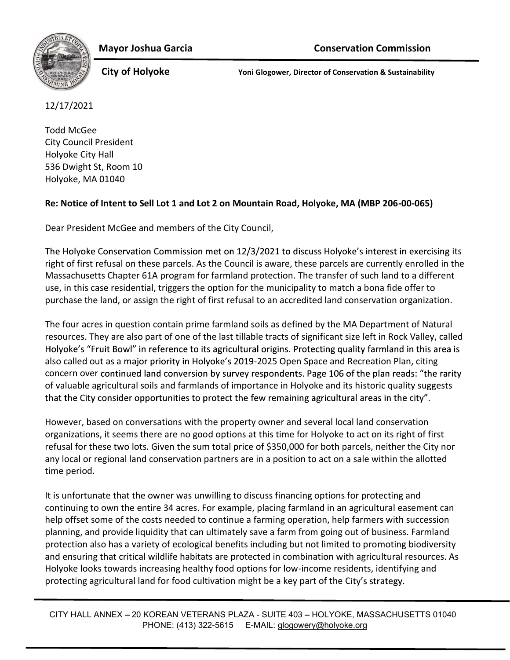



City of Holyoke Yoni Glogower, Director of Conservation & Sustainability

## 12/17/2021

Todd McGee City Council President Holyoke City Hall 536 Dwight St, Room 10 Holyoke, MA 01040

## Re: Notice of Intent to Sell Lot 1 and Lot 2 on Mountain Road, Holyoke, MA (MBP 206-00-065)

Dear President McGee and members of the City Council,

The Holyoke Conservation Commission met on 12/3/2021 to discuss Holyoke's interest in exercising its right of first refusal on these parcels. As the Council is aware, these parcels are currently enrolled in the Massachusetts Chapter 61A program for farmland protection. The transfer of such land to a different use, in this case residential, triggers the option for the municipality to match a bona fide offer to purchase the land, or assign the right of first refusal to an accredited land conservation organization.

The four acres in question contain prime farmland soils as defined by the MA Department of Natural resources. They are also part of one of the last tillable tracts of significant size left in Rock Valley, called Holyoke's "Fruit Bowl" in reference to its agricultural origins. Protecting quality farmland in this area is also called out as a major priority in Holyoke's 2019-2025 Open Space and Recreation Plan, citing concern over continued land conversion by survey respondents. Page 106 of the plan reads: "the rarity of valuable agricultural soils and farmlands of importance in Holyoke and its historic quality suggests that the City consider opportunities to protect the few remaining agricultural areas in the city".

However, based on conversations with the property owner and several local land conservation organizations, it seems there are no good options at this time for Holyoke to act on its right of first refusal for these two lots. Given the sum total price of \$350,000 for both parcels, neither the City nor any local or regional land conservation partners are in a position to act on a sale within the allotted time period.

It is unfortunate that the owner was unwilling to discuss financing options for protecting and continuing to own the entire 34 acres. For example, placing farmland in an agricultural easement can help offset some of the costs needed to continue a farming operation, help farmers with succession planning, and provide liquidity that can ultimately save a farm from going out of business. Farmland protection also has a variety of ecological benefits including but not limited to promoting biodiversity and ensuring that critical wildlife habitats are protected in combination with agricultural resources. As Holyoke looks towards increasing healthy food options for low-income residents, identifying and protecting agricultural land for food cultivation might be a key part of the City's strategy.